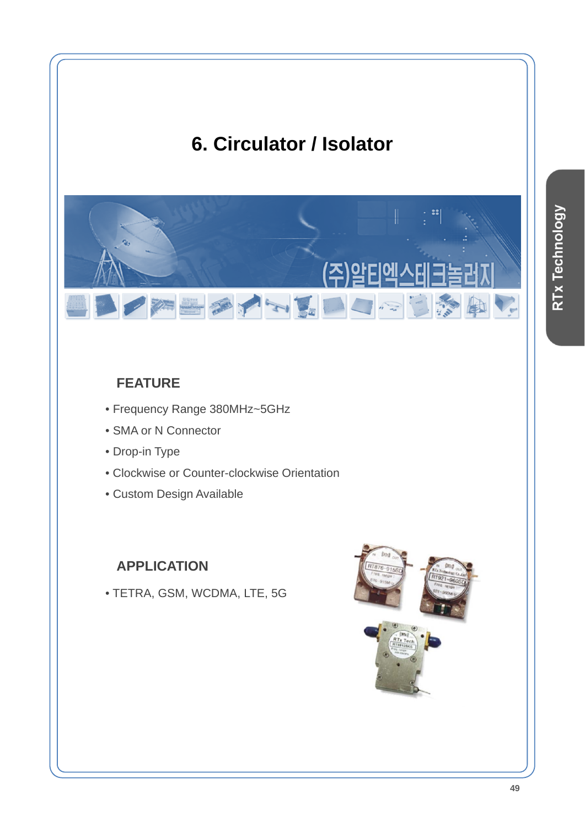# **6. Circulator / Isolator**



## **FEATURE**

- Frequency Range 380MHz~5GHz
- SMA or N Connector
- Drop-in Type
- Clockwise or Counter-clockwise Orientation
- Custom Design Available

### **APPLICATION**

• TETRA, GSM, WCDMA, LTE, 5G

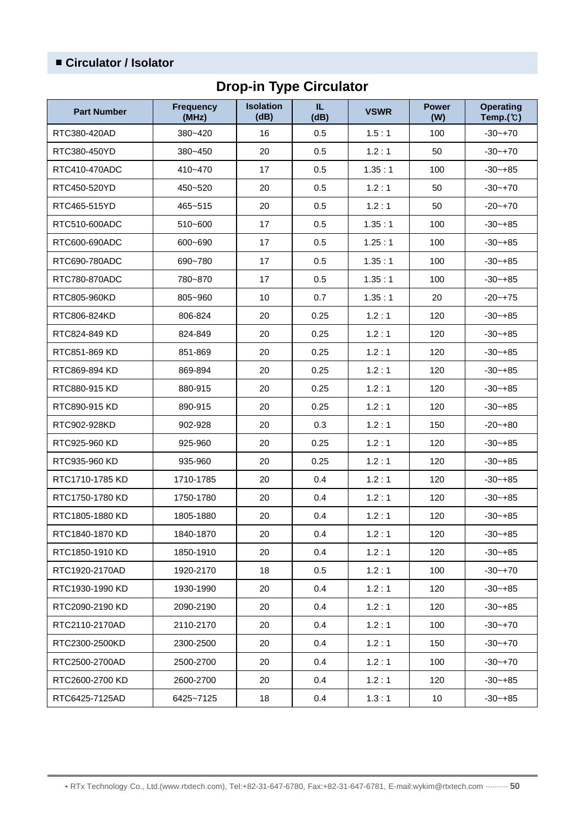#### ■ **Circulator / Isolator**

## **Drop-in Type Circulator**

| <b>Part Number</b> | <b>Frequency</b><br>(MHz) | <b>Isolation</b><br>(dB) | IL.<br>(dB)  | <b>VSWR</b> | <b>Power</b><br>(W) | <b>Operating</b><br>Temp. $(\mathbb{C})$ |
|--------------------|---------------------------|--------------------------|--------------|-------------|---------------------|------------------------------------------|
| RTC380-420AD       | 380~420                   | 16                       | 0.5          | 1.5:1       | 100                 | $-30 - +70$                              |
| RTC380-450YD       | 380~450                   | 20                       | 0.5          | 1.2:1       | 50                  | $-30 - +70$                              |
| RTC410-470ADC      | $410 - 470$               | 17                       | 0.5          | 1.35:1      | 100                 | $-30 - +85$                              |
| RTC450-520YD       | 450~520                   | 20                       | 0.5          | 1.2:1       | 50                  | $-30 - +70$                              |
| RTC465-515YD       | 465~515                   | 20                       | 0.5          | 1.2:1       | 50                  | $-20 - +70$                              |
| RTC510-600ADC      | 510~600                   | 17                       | 0.5          | 1.35:1      | 100                 | $-30 - +85$                              |
| RTC600-690ADC      | 600~690                   | 17                       | 0.5          | 1.25:1      | 100                 | $-30 - +85$                              |
| RTC690-780ADC      | 690~780                   | 17                       | 0.5          | 1.35:1      | 100                 | $-30 - +85$                              |
| RTC780-870ADC      | 780~870                   | 17                       | 0.5          | 1.35:1      | 100                 | $-30 - +85$                              |
| RTC805-960KD       | 805~960                   | 10                       | 0.7          | 1.35:1      | 20                  | $-20 - +75$                              |
| RTC806-824KD       | 806-824                   | 20                       | 0.25         | 1.2:1       | 120                 | $-30 - +85$                              |
| RTC824-849 KD      | 824-849                   | 20                       | 0.25         | 1.2:1       | 120                 | $-30 - +85$                              |
| RTC851-869 KD      | 851-869                   | 20                       | 0.25         | 1.2:1       | 120                 | $-30 - +85$                              |
| RTC869-894 KD      | 869-894                   | 20                       | 0.25         | 1.2:1       | 120                 | $-30 - +85$                              |
| RTC880-915 KD      | 880-915                   | 20                       | 0.25         | 1.2:1       | 120                 | $-30 - +85$                              |
| RTC890-915 KD      | 890-915                   | 20                       | 0.25         | 1.2:1       | 120                 | $-30 - +85$                              |
| RTC902-928KD       | 902-928                   | 20                       | 0.3          | 1.2:1       | 150                 | $-20 - +80$                              |
| RTC925-960 KD      | 925-960                   | 20                       | 0.25         | 1.2:1       | 120                 | $-30 - +85$                              |
| RTC935-960 KD      | 935-960                   | 20                       | 0.25         | 1.2:1       | 120                 | $-30 - +85$                              |
| RTC1710-1785 KD    | 1710-1785                 | 20                       | 0.4          | 1.2:1       | 120                 | $-30 - +85$                              |
| RTC1750-1780 KD    | 1750-1780                 | 20                       | 0.4          | 1.2:1       | 120                 | $-30 - +85$                              |
| RTC1805-1880 KD    | 1805-1880                 | 20                       | 0.4          | 1.2:1       | 120                 | $-30 - +85$                              |
| RTC1840-1870 KD    | 1840-1870                 | 20                       | 0.4          | 1.2:1       | 120                 | $-30-+85$                                |
| RTC1850-1910 KD    | 1850-1910                 | 20                       | 0.4          | 1.2:1       | 120                 | $-30 - +85$                              |
| RTC1920-2170AD     | 1920-2170                 | 18                       | 0.5          | 1.2:1       | 100                 | $-30-+70$                                |
| RTC1930-1990 KD    | 1930-1990                 | 20                       | 0.4          | 1.2:1       | 120                 | $-30 - +85$                              |
| RTC2090-2190 KD    | 2090-2190                 | 20                       | 0.4          | 1.2:1       | 120                 | $-30-+85$                                |
| RTC2110-2170AD     | 2110-2170                 | 20                       | 0.4<br>1.2:1 |             | 100                 | $-30 - +70$                              |
| RTC2300-2500KD     | 2300-2500                 | 20                       | 0.4<br>1.2:1 |             | 150                 | $-30-+70$                                |
| RTC2500-2700AD     | 2500-2700                 | 20                       | 0.4          | 1.2:1       | 100                 | $-30-+70$                                |
| RTC2600-2700 KD    | 2600-2700                 | 20                       | 0.4          | 1.2:1       | 120                 | $-30-+85$                                |
| RTC6425-7125AD     | 6425~7125                 | 18                       | 0.4          | 1.3:1       | 10                  | $-30 - +85$                              |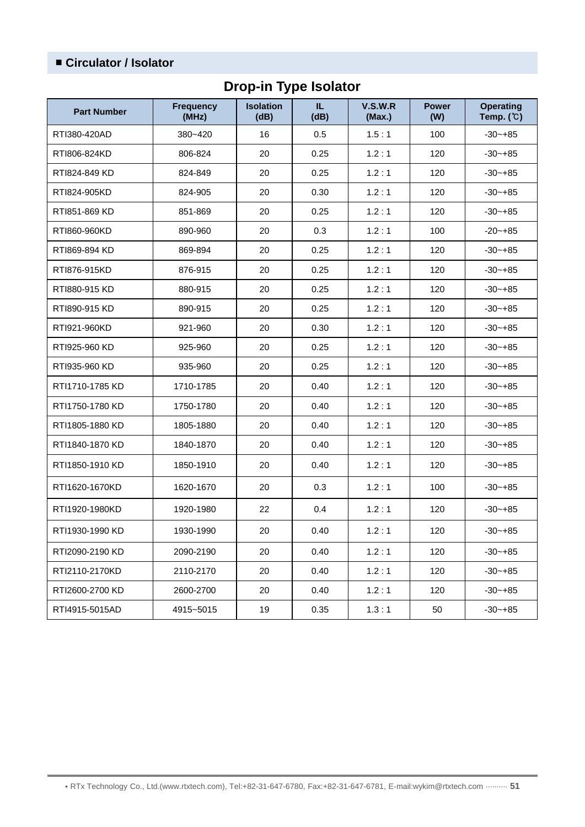### ■ **Circulator / Isolator**

## **Drop-in Type Isolator**

| <b>Part Number</b> | <b>Frequency</b><br>(MHz) | <b>Isolation</b><br>(dB) | IL.<br>(dB) | V.S.W.R<br>(Max.) | <b>Power</b><br>(W) | <b>Operating</b><br>Temp. $(C)$ |
|--------------------|---------------------------|--------------------------|-------------|-------------------|---------------------|---------------------------------|
| RTI380-420AD       | 380~420                   | 16                       | 0.5         | 1.5:1             |                     | $-30 - +85$                     |
| RTI806-824KD       | 806-824                   | 20                       | 0.25        | 1.2:1             | 120                 | $-30 - +85$                     |
| RTI824-849 KD      | 824-849                   | 20                       | 0.25        | 1.2:1             | 120                 | $-30 - +85$                     |
| RTI824-905KD       | 824-905                   | 20                       | 0.30        | 1.2:1             | 120                 | $-30 - +85$                     |
| RTI851-869 KD      | 851-869                   | 20                       | 0.25        | 1.2:1             | 120                 | $-30 - +85$                     |
| RTI860-960KD       | 890-960                   | 20                       | 0.3         | 1.2:1             | 100                 | $-20 - +85$                     |
| RTI869-894 KD      | 869-894                   | 20                       | 0.25        | 1.2:1             | 120                 | $-30 - +85$                     |
| RTI876-915KD       | 876-915                   | 20                       | 0.25        | 1.2:1             | 120                 | $-30 - +85$                     |
| RTI880-915 KD      | 880-915                   | 20                       | 0.25        | 1.2:1             | 120                 | $-30 - +85$                     |
| RTI890-915 KD      | 890-915                   | 20                       | 0.25        | 1.2:1             | 120                 | $-30 - +85$                     |
| RTI921-960KD       | 921-960                   | 20                       | 0.30        | 1.2:1             | 120                 | $-30 - +85$                     |
| RTI925-960 KD      | 925-960                   | 20                       | 0.25        | 1.2:1             | 120                 | $-30 - +85$                     |
| RTI935-960 KD      | 935-960                   | 20                       | 0.25        | 1.2:1             | 120                 | $-30 - +85$                     |
| RTI1710-1785 KD    | 1710-1785                 | 20                       | 0.40        | 1.2:1             | 120                 | $-30 - +85$                     |
| RTI1750-1780 KD    | 1750-1780                 | 20                       | 0.40        | 1.2:1             | 120                 | $-30 - +85$                     |
| RTI1805-1880 KD    | 1805-1880                 | 20                       | 0.40        | 1.2:1             | 120                 | $-30 - +85$                     |
| RTI1840-1870 KD    | 1840-1870                 | 20                       | 0.40        | 1.2:1             | 120                 | $-30 - +85$                     |
| RTI1850-1910 KD    | 1850-1910                 | 20                       | 0.40        | 1.2:1             | 120                 | $-30 - +85$                     |
| RTI1620-1670KD     | 1620-1670                 | 20                       | 0.3         | 1.2:1             | 100                 | $-30 - +85$                     |
| RTI1920-1980KD     | 1920-1980                 | 22                       | 0.4         | 1.2:1             | 120                 | $-30 - +85$                     |
| RTI1930-1990 KD    | 1930-1990                 | 20                       | 0.40        | 1.2:1             | 120                 | $-30 - +85$                     |
| RTI2090-2190 KD    | 2090-2190                 | 20                       | 0.40        | 1.2:1             | 120                 | $-30 - +85$                     |
| RTI2110-2170KD     | 2110-2170                 | 20                       | 0.40        | 1.2:1             | 120                 | $-30 - +85$                     |
| RTI2600-2700 KD    | 2600-2700                 | 20                       | 0.40        | 1.2:1             | 120                 | $-30 - +85$                     |
| RTI4915-5015AD     | 4915~5015                 | 19                       | 0.35        | 1.3:1             | 50                  | $-30 - +85$                     |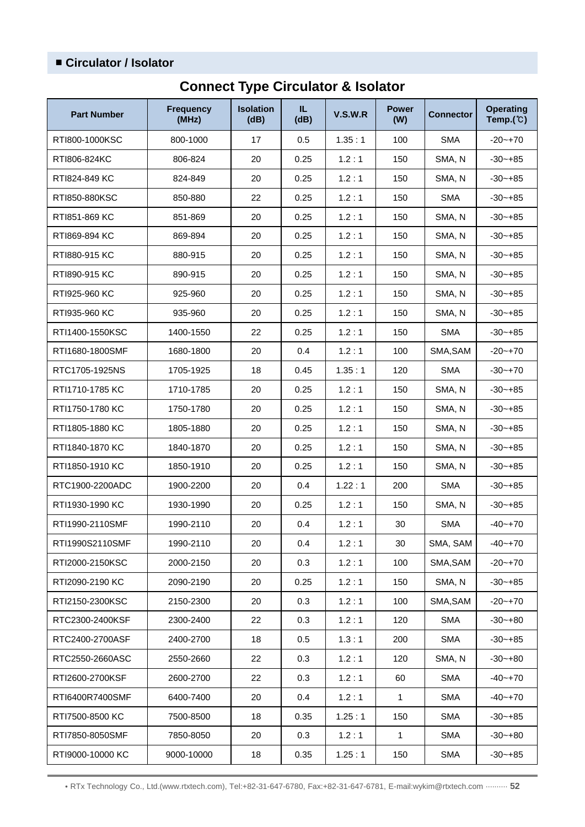#### ■ **Circulator / Isolator**

| <b>Part Number</b> | <b>Frequency</b><br>(MHz) | <b>Isolation</b><br>(dB) | IL.<br>(dB) | <b>V.S.W.R</b> | <b>Power</b><br>(W) | <b>Connector</b> | <b>Operating</b><br>Temp. $(\mathbb{C})$ |
|--------------------|---------------------------|--------------------------|-------------|----------------|---------------------|------------------|------------------------------------------|
| RTI800-1000KSC     | 800-1000                  | 17                       | 0.5         | 1.35:1         | 100                 | <b>SMA</b>       | $-20 - +70$                              |
| RTI806-824KC       | 806-824                   | 20                       | 0.25        | 1.2:1          | 150                 | SMA, N           | $-30 - +85$                              |
| RTI824-849 KC      | 824-849                   | 20                       | 0.25        | 1.2:1          | 150                 | SMA, N           | $-30 - +85$                              |
| RTI850-880KSC      | 850-880                   | 22                       | 0.25        | 1.2:1          | 150                 | <b>SMA</b>       | $-30 - +85$                              |
| RTI851-869 KC      | 851-869                   | 20                       | 0.25        | 1.2:1          | 150                 | SMA, N           | $-30 - +85$                              |
| RTI869-894 KC      | 869-894                   | 20                       | 0.25        | 1.2:1          | 150                 | SMA, N           | $-30 - +85$                              |
| RTI880-915 KC      | 880-915                   | 20                       | 0.25        | 1.2:1          | 150                 | SMA, N           | $-30 - +85$                              |
| RTI890-915 KC      | 890-915                   | 20                       | 0.25        | 1.2:1          | 150                 | SMA, N           | $-30 - +85$                              |
| RTI925-960 KC      | 925-960                   | 20                       | 0.25        | 1.2:1          | 150                 | SMA, N           | $-30 - +85$                              |
| RTI935-960 KC      | 935-960                   | 20                       | 0.25        | 1.2:1          | 150                 | SMA, N           | $-30 - +85$                              |
| RTI1400-1550KSC    | 1400-1550                 | 22                       | 0.25        | 1.2:1          | 150                 | <b>SMA</b>       | $-30 - +85$                              |
| RTI1680-1800SMF    | 1680-1800                 | 20                       | 0.4         | 1.2:1          | 100                 | SMA, SAM         | $-20 - +70$                              |
| RTC1705-1925NS     | 1705-1925                 | 18                       | 0.45        | 1.35:1         | 120                 | <b>SMA</b>       | $-30 - +70$                              |
| RTI1710-1785 KC    | 1710-1785                 | 20                       | 0.25        | 1.2:1          | 150                 | SMA, N           | $-30 - +85$                              |
| RTI1750-1780 KC    | 1750-1780                 | 20                       | 0.25        | 1.2:1          | 150                 | SMA, N           | $-30 - +85$                              |
| RTI1805-1880 KC    | 1805-1880                 | 20                       | 0.25        | 1.2:1          | 150                 | SMA, N           | $-30 - +85$                              |
| RTI1840-1870 KC    | 1840-1870                 | 20                       | 0.25        | 1.2:1          | 150                 | SMA, N           | $-30 - +85$                              |
| RTI1850-1910 KC    | 1850-1910                 | 20                       | 0.25        | 1.2:1          | 150                 | SMA, N           | $-30 - +85$                              |
| RTC1900-2200ADC    | 1900-2200                 | 20                       | 0.4         | 1.22:1         | 200                 | <b>SMA</b>       | $-30 - +85$                              |
| RTI1930-1990 KC    | 1930-1990                 | 20                       | 0.25        | 1.2:1          | 150                 | SMA, N           | $-30 - +85$                              |
| RTI1990-2110SMF    | 1990-2110                 | 20                       | 0.4         | 1.2:1          | 30                  | <b>SMA</b>       | $-40 - +70$                              |
| RTI1990S2110SMF    | 1990-2110                 | $20\,$                   | 0.4         | 1.2:1          | $30\,$              | SMA, SAM         | $-40 - +70$                              |
| RTI2000-2150KSC    | 2000-2150                 | 20                       | 0.3         | 1.2:1          | 100                 | SMA, SAM         | $-20 - +70$                              |
| RTI2090-2190 KC    | 2090-2190                 | 20                       | 0.25        | 1.2:1          | 150                 | SMA, N           | $-30 - +85$                              |
| RTI2150-2300KSC    | 2150-2300                 | 20                       | 0.3         | 1.2:1          | 100                 | SMA, SAM         | $-20 - +70$                              |
| RTC2300-2400KSF    | 2300-2400                 | 22                       | 0.3         | 1.2:1          | 120                 | <b>SMA</b>       | $-30 - +80$                              |
| RTC2400-2700ASF    | 2400-2700                 | 18                       | 0.5         | 1.3:1          | 200                 | <b>SMA</b>       | $-30 - +85$                              |
| RTC2550-2660ASC    | 2550-2660                 | 22                       | 0.3         | 1.2:1          | 120                 | SMA, N           | $-30 - +80$                              |
| RTI2600-2700KSF    | 2600-2700                 | 22                       | 0.3         | 1.2:1          | 60                  | <b>SMA</b>       | $-40 - +70$                              |
| RTI6400R7400SMF    | 6400-7400                 | 20                       | 0.4         | 1.2:1          | $\mathbf{1}$        | <b>SMA</b>       | $-40 - +70$                              |
| RTI7500-8500 KC    | 7500-8500                 | 18                       | 0.35        | 1.25:1         | 150                 | <b>SMA</b>       | $-30 - +85$                              |
| RTI7850-8050SMF    | 7850-8050                 | 20                       | 0.3         | 1.2:1          | $\mathbf{1}$        | <b>SMA</b>       | $-30 - +80$                              |
| RTI9000-10000 KC   | 9000-10000                | 18                       | 0.35        | 1.25:1         | 150                 | <b>SMA</b>       | $-30 - +85$                              |

## **Connect Type Circulator & Isolator**

• RTx Technology Co., Ltd.(www.rtxtech.com), Tel:+82-31-647-6780, Fax:+82-31-647-6781, E-mail:wykim@rtxtech.com ·········· **52**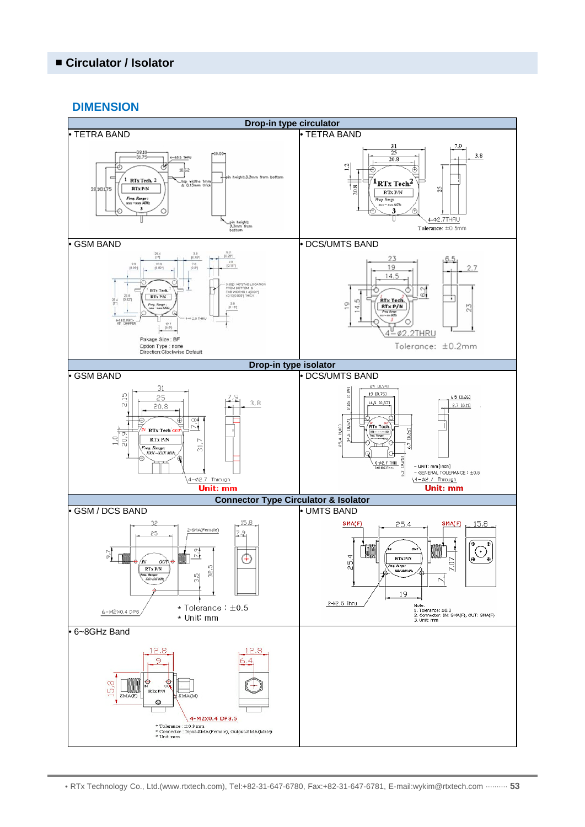#### **DIMENSION**